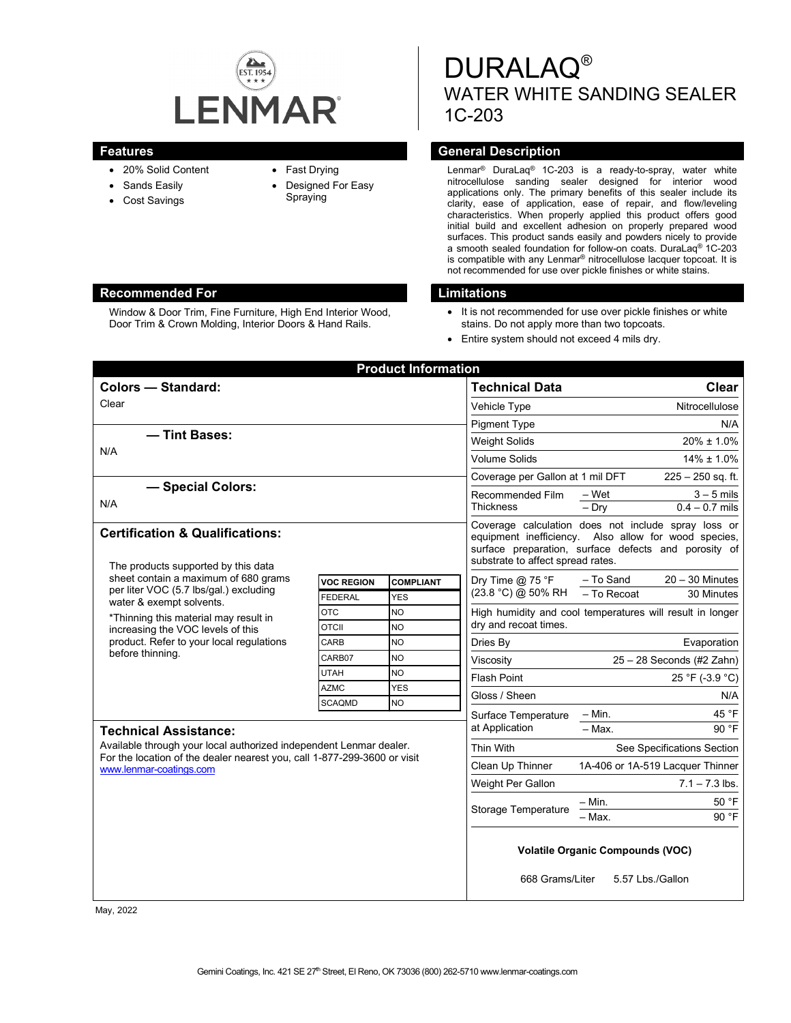

Window & Door Trim, Fine Furniture, High End Interior Wood, Door Trim & Crown Molding, Interior Doors & Hand Rails.

- 20% Solid Content
- Sands Easily
- Cost Savings
- Fast Drying
- Designed For Easy Spraying

DURALAQ® WATER WHITE SANDING SEALER 1C-203

## **Features General Description**

Lenmar® DuraLaq® 1C-203 is a ready-to-spray, water white nitrocellulose sanding sealer designed for interior wood applications only. The primary benefits of this sealer include its clarity, ease of application, ease of repair, and flow/leveling characteristics. When properly applied this product offers good initial build and excellent adhesion on properly prepared wood surfaces. This product sands easily and powders nicely to provide a smooth sealed foundation for follow-on coats. DuraLaq® 1C-203 is compatible with any Lenmar® nitrocellulose lacquer topcoat. It is not recommended for use over pickle finishes or white stains.

### **Recommended For Limitations**

- It is not recommended for use over pickle finishes or white stains. Do not apply more than two topcoats.
- Entire system should not exceed 4 mils dry.

| <b>Product Information</b>                                                                                                                                                                                                                               |                            |                         |                                                                                                                                                                                                          |                                                           |                            |  |
|----------------------------------------------------------------------------------------------------------------------------------------------------------------------------------------------------------------------------------------------------------|----------------------------|-------------------------|----------------------------------------------------------------------------------------------------------------------------------------------------------------------------------------------------------|-----------------------------------------------------------|----------------------------|--|
| <b>Colors - Standard:</b>                                                                                                                                                                                                                                |                            |                         | <b>Technical Data</b>                                                                                                                                                                                    |                                                           | Clear                      |  |
| Clear                                                                                                                                                                                                                                                    |                            |                         | Vehicle Type                                                                                                                                                                                             | Nitrocellulose                                            |                            |  |
|                                                                                                                                                                                                                                                          |                            |                         | <b>Pigment Type</b>                                                                                                                                                                                      | N/A                                                       |                            |  |
| - Tint Bases:<br>N/A                                                                                                                                                                                                                                     |                            |                         | <b>Weight Solids</b>                                                                                                                                                                                     | $20\% \pm 1.0\%$                                          |                            |  |
|                                                                                                                                                                                                                                                          |                            |                         | <b>Volume Solids</b>                                                                                                                                                                                     | $14\% \pm 1.0\%$                                          |                            |  |
|                                                                                                                                                                                                                                                          |                            |                         | Coverage per Gallon at 1 mil DFT                                                                                                                                                                         | $225 - 250$ sq. ft.                                       |                            |  |
| - Special Colors:                                                                                                                                                                                                                                        |                            |                         | Recommended Film                                                                                                                                                                                         | – Wet                                                     | $3 - 5$ mils               |  |
| N/A                                                                                                                                                                                                                                                      |                            |                         | <b>Thickness</b>                                                                                                                                                                                         | $-$ Drv                                                   | $0.4 - 0.7$ mils           |  |
| <b>Certification &amp; Qualifications:</b><br>The products supported by this data                                                                                                                                                                        |                            |                         | Coverage calculation does not include spray loss or<br>equipment inefficiency. Also allow for wood species,<br>surface preparation, surface defects and porosity of<br>substrate to affect spread rates. |                                                           |                            |  |
| sheet contain a maximum of 680 grams<br>per liter VOC (5.7 lbs/gal.) excluding<br>water & exempt solvents.<br>*Thinning this material may result in<br>increasing the VOC levels of this<br>product. Refer to your local regulations<br>before thinning. | <b>VOC REGION</b>          | <b>COMPLIANT</b>        | Dry Time $@$ 75 °F                                                                                                                                                                                       | - To Sand                                                 | $20 - 30$ Minutes          |  |
|                                                                                                                                                                                                                                                          | <b>FEDERAL</b>             | <b>YES</b>              | (23.8 °C) @ 50% RH                                                                                                                                                                                       | - To Recoat                                               | 30 Minutes                 |  |
|                                                                                                                                                                                                                                                          | <b>OTC</b>                 | <b>NO</b>               |                                                                                                                                                                                                          | High humidity and cool temperatures will result in longer |                            |  |
|                                                                                                                                                                                                                                                          | <b>OTCII</b>               | <b>NO</b>               | dry and recoat times.                                                                                                                                                                                    |                                                           |                            |  |
|                                                                                                                                                                                                                                                          | CARB                       | <b>NO</b>               | Dries By                                                                                                                                                                                                 | Evaporation                                               |                            |  |
|                                                                                                                                                                                                                                                          | CARB07                     | <b>NO</b>               | Viscosity                                                                                                                                                                                                | $25 - 28$ Seconds (#2 Zahn)                               |                            |  |
|                                                                                                                                                                                                                                                          | <b>UTAH</b><br><b>AZMC</b> | <b>NO</b><br><b>YES</b> | <b>Flash Point</b>                                                                                                                                                                                       |                                                           | 25 °F (-3.9 °C)            |  |
|                                                                                                                                                                                                                                                          | <b>SCAQMD</b>              | NO                      | Gloss / Sheen                                                                                                                                                                                            |                                                           | N/A                        |  |
|                                                                                                                                                                                                                                                          |                            | Surface Temperature     | $-$ Min.                                                                                                                                                                                                 | 45 °F                                                     |                            |  |
| <b>Technical Assistance:</b>                                                                                                                                                                                                                             |                            |                         | at Application                                                                                                                                                                                           | $-$ Max.                                                  | 90 °F                      |  |
| Available through your local authorized independent Lenmar dealer.<br>For the location of the dealer nearest you, call 1-877-299-3600 or visit<br>www.lenmar-coatings.com                                                                                |                            |                         | Thin With                                                                                                                                                                                                |                                                           | See Specifications Section |  |
|                                                                                                                                                                                                                                                          |                            |                         | Clean Up Thinner                                                                                                                                                                                         | 1A-406 or 1A-519 Lacquer Thinner                          |                            |  |
|                                                                                                                                                                                                                                                          |                            |                         | Weight Per Gallon                                                                                                                                                                                        |                                                           | $7.1 - 7.3$ lbs.           |  |
|                                                                                                                                                                                                                                                          |                            |                         |                                                                                                                                                                                                          | $-$ Min.                                                  | 50 °F                      |  |
|                                                                                                                                                                                                                                                          |                            |                         | <b>Storage Temperature</b>                                                                                                                                                                               | $-$ Max.                                                  | 90 °F                      |  |
|                                                                                                                                                                                                                                                          |                            |                         | <b>Volatile Organic Compounds (VOC)</b><br>668 Grams/Liter<br>5.57 Lbs./Gallon                                                                                                                           |                                                           |                            |  |

May, 2022